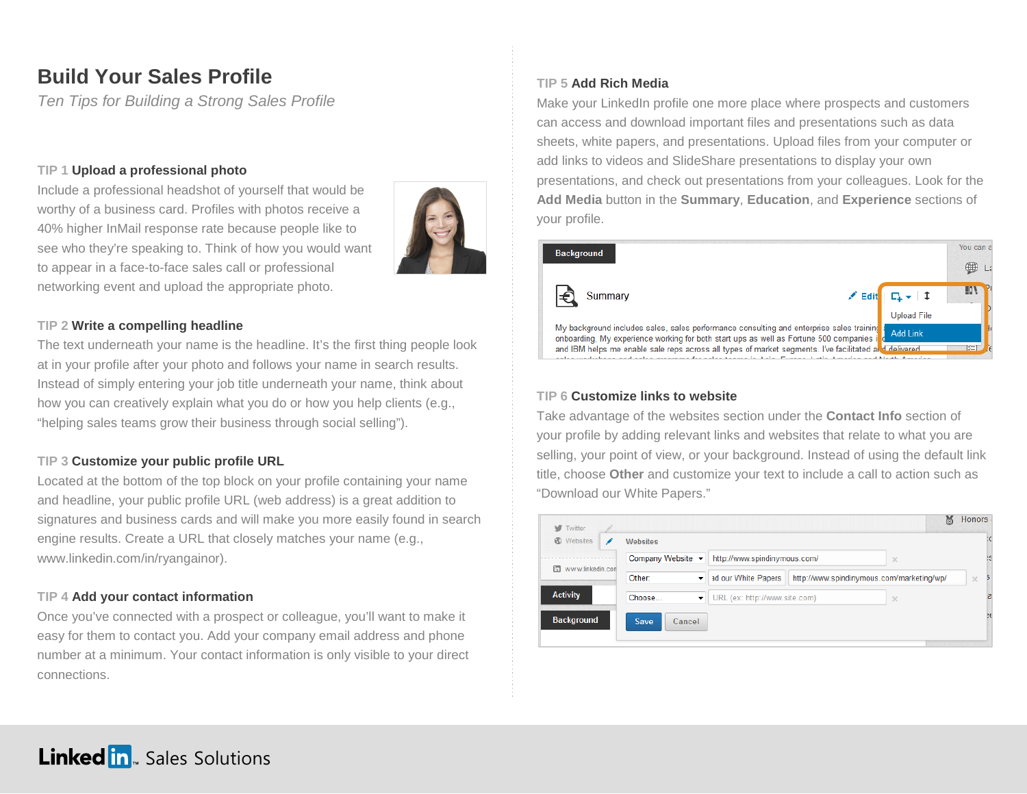# **Build Your Sales Profile**

*Ten Tips for Building a Strong Sales Profile*

## **TIP 1 Upload a professional photo**

Include a professional headshot of yourself that would be worthy of a business card. Profiles with photos receive a 40% higher InMail response rate because people like to see who they're speaking to. Think of how you would want to appear in a face-to-face sales call or professional networking event and upload the appropriate photo.



## **TIP 2 Write a compelling headline**

The text underneath your name is the headline. It's the first thing people look at in your profile after your photo and follows your name in search results. Instead of simply entering your job title underneath your name, think about how you can creatively explain what you do or how you help clients (e.g., "helping sales teams grow their business through social selling").

## **TIP 3 Customize your public profile URL**

Located at the bottom of the top block on your profile containing your name and headline, your public profile URL (web address) is a great addition to signatures and business cards and will make you more easily found in search engine results. Create a URL that closely matches your name (e.g., www.linkedin.com/in/ryangainor).

# **TIP 4 Add your contact information**

Once you've connected with a prospect or colleague, you'll want to make it easy for them to contact you. Add your company email address and phone number at a minimum. Your contact information is only visible to your direct connections.

# **TIP 5 Add Rich Media**

Make your LinkedIn profile one more place where prospects and customers can access and download important files and presentations such as data sheets, white papers, and presentations. Upload files from your computer or add links to videos and SlideShare presentations to display your own presentations, and check out presentations from your colleagues. Look for the **Add Media** button in the **Summary**, **Education**, and **Experience** sections of your profile.



## **TIP 6 Customize links to website**

Take advantage of the websites section under the **Contact Info** section of your profile by adding relevant links and websites that relate to what you are selling, your point of view, or your background. Instead of using the default link title, choose **Other** and customize your text to include a call to action such as "Download our White Papers."